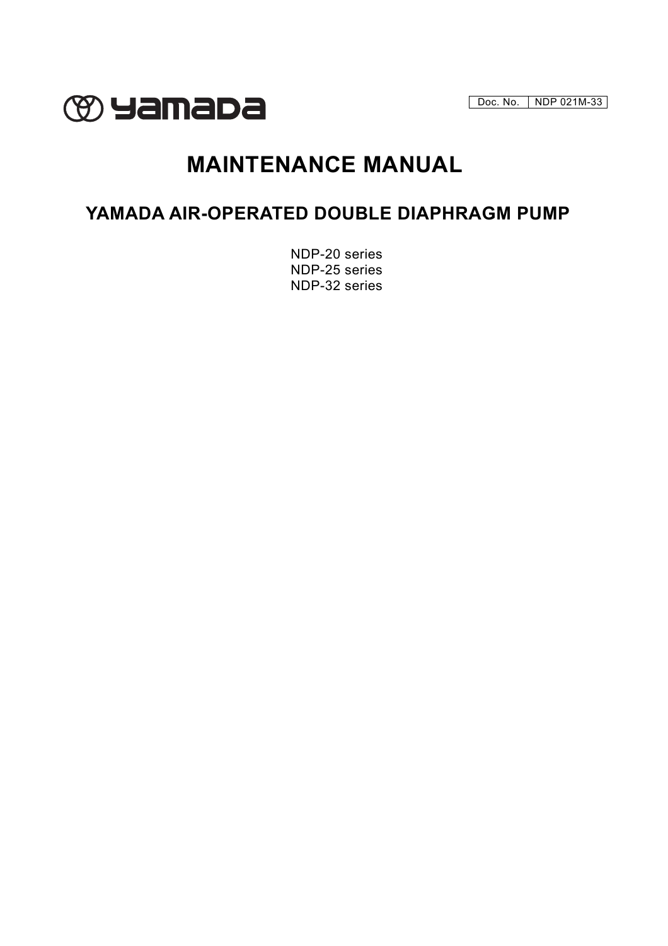Doc. No. | NDP 021M-33



# **MAINTENANCE MANUAL**

## **YAMADA AIR-OPERATED DOUBLE DIAPHRAGM PUMP**

NDP-20 series NDP-25 series NDP-32 series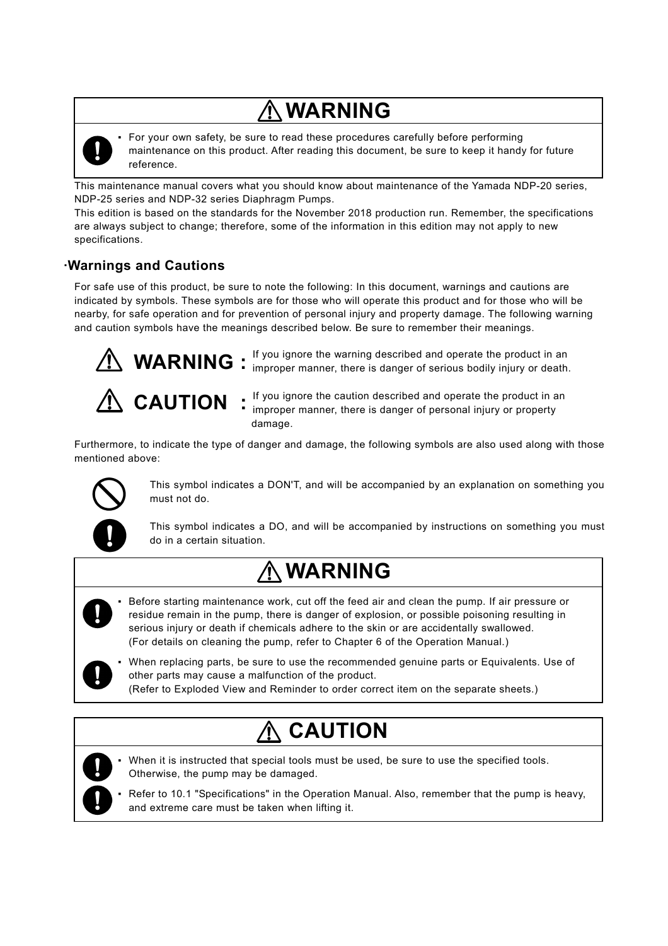# **WARNING**



▪ For your own safety, be sure to read these procedures carefully before performing maintenance on this product. After reading this document, be sure to keep it handy for future reference.

This maintenance manual covers what you should know about maintenance of the Yamada NDP-20 series, NDP-25 series and NDP-32 series Diaphragm Pumps.

This edition is based on the standards for the November 2018 production run. Remember, the specifications are always subject to change; therefore, some of the information in this edition may not apply to new specifications.

## **·Warnings and Cautions**

For safe use of this product, be sure to note the following: In this document, warnings and cautions are indicated by symbols. These symbols are for those who will operate this product and for those who will be nearby, for safe operation and for prevention of personal injury and property damage. The following warning and caution symbols have the meanings described below. Be sure to remember their meanings.



If you ignore the warning described and operate the product in an **WARNING** : If you ignore the warning described and operate the product in an expression of  $\sum_{i}$ 



If you ignore the caution described and operate the product in an **CAUTION** : If you ignore the caution described and operate the product in a<br>improper manner, there is danger of personal injury or property damage.

Furthermore, to indicate the type of danger and damage, the following symbols are also used along with those mentioned above:



This symbol indicates a DON'T, and will be accompanied by an explanation on something you must not do.

This symbol indicates a DO, and will be accompanied by instructions on something you must do in a certain situation.

# $\Lambda$  WARNING

- Before starting maintenance work, cut off the feed air and clean the pump. If air pressure or residue remain in the pump, there is danger of explosion, or possible poisoning resulting in serious injury or death if chemicals adhere to the skin or are accidentally swallowed. (For details on cleaning the pump, refer to Chapter 6 of the Operation Manual.)
- - When replacing parts, be sure to use the recommended genuine parts or Equivalents. Use of other parts may cause a malfunction of the product.
	- (Refer to Exploded View and Reminder to order correct item on the separate sheets.)

# **CAUTION**



- When it is instructed that special tools must be used, be sure to use the specified tools. Otherwise, the pump may be damaged.
- Refer to 10.1 "Specifications" in the Operation Manual. Also, remember that the pump is heavy, and extreme care must be taken when lifting it.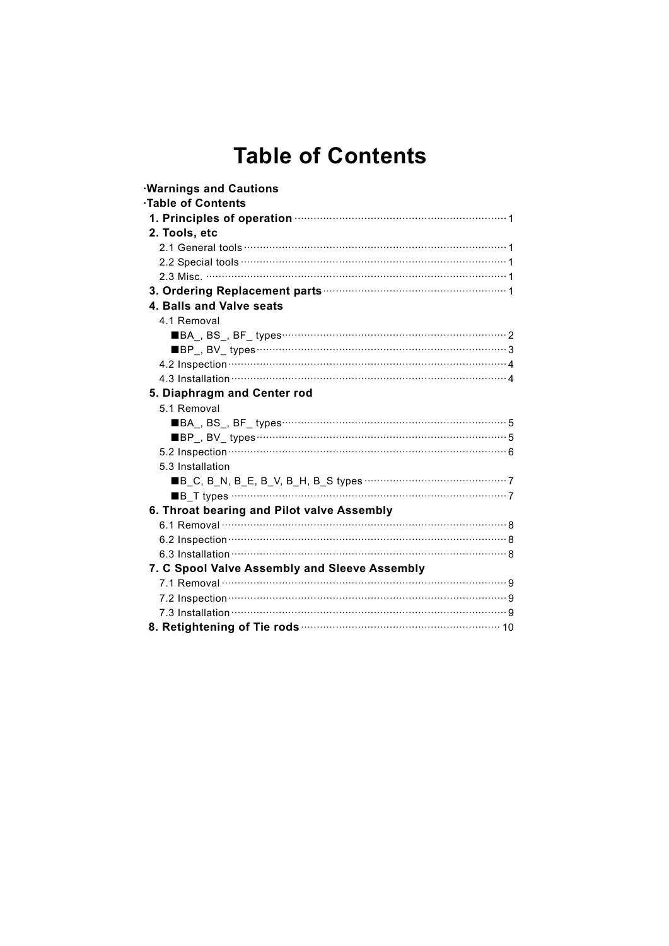## **Table of Contents**

| <b>Warnings and Cautions</b>                                                                   |  |
|------------------------------------------------------------------------------------------------|--|
| Table of Contents                                                                              |  |
| 1. Principles of operation <b>contained a manufacture of the contract of the Principles</b> of |  |
| 2. Tools, etc                                                                                  |  |
|                                                                                                |  |
|                                                                                                |  |
|                                                                                                |  |
|                                                                                                |  |
| 4. Balls and Valve seats                                                                       |  |
| 4.1 Removal                                                                                    |  |
|                                                                                                |  |
|                                                                                                |  |
|                                                                                                |  |
|                                                                                                |  |
| 5. Diaphragm and Center rod                                                                    |  |
| 5.1 Removal                                                                                    |  |
|                                                                                                |  |
|                                                                                                |  |
|                                                                                                |  |
| 5.3 Installation                                                                               |  |
|                                                                                                |  |
|                                                                                                |  |
| 6. Throat bearing and Pilot valve Assembly                                                     |  |
|                                                                                                |  |
|                                                                                                |  |
|                                                                                                |  |
| 7. C Spool Valve Assembly and Sleeve Assembly                                                  |  |
|                                                                                                |  |
|                                                                                                |  |
|                                                                                                |  |
|                                                                                                |  |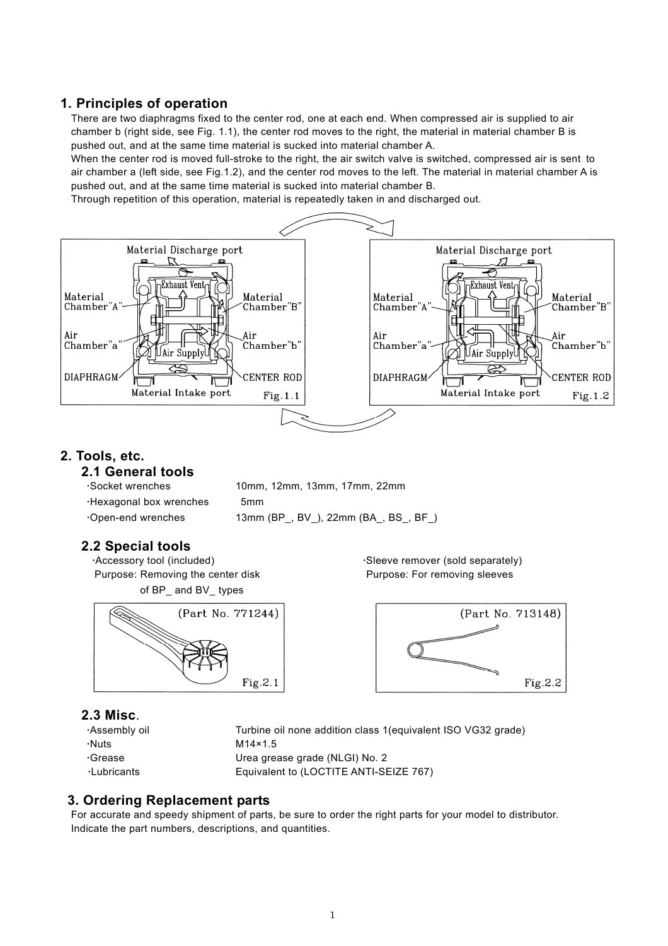## **1. Principles of operation**

There are two diaphragms fixed to the center rod, one at each end. When compressed air is supplied to air chamber b (right side, see Fig. 1.1), the center rod moves to the right, the material in material chamber B is pushed out, and at the same time material is sucked into material chamber A.

When the center rod is moved full-stroke to the right, the air switch valve is switched, compressed air is sent to air chamber a (left side, see Fig.1.2), and the center rod moves to the left. The material in material chamber A is pushed out, and at the same time material is sucked into material chamber B.

Through repetition of this operation, material is repeatedly taken in and discharged out.



## **2. Tools, etc.**

## **2.1 General tools**

| Socket wrenches .      | 10mm, 12mm, 13mm, 17mm, 22mm     |
|------------------------|----------------------------------|
| Hexagonal box wrenches | 5 <sub>mm</sub>                  |
| Open-end wrenches      | 13mm (BP, BV), 22mm (BA, BS, BF) |

## **2.2 Special tools**

Purpose: Removing the center disk **Purpose: For removing sleeves** of BP\_ and BV\_ types



## **2.3 Misc**.

**·**Nuts M14×1.5

 **·**Assembly oil Turbine oil none addition class 1(equivalent ISO VG32 grade) **·**Grease Urea grease grade (NLGI) No. 2 **·**LubricantsEquivalent to (LOCTITE ANTI-SEIZE 767)

## **3. Ordering Replacement parts**

For accurate and speedy shipment of parts, be sure to order the right parts for your model to distributor. Indicate the part numbers, descriptions, and quantities.

**·**Accessory tool (included) **·**Sleeve remover (sold separately)

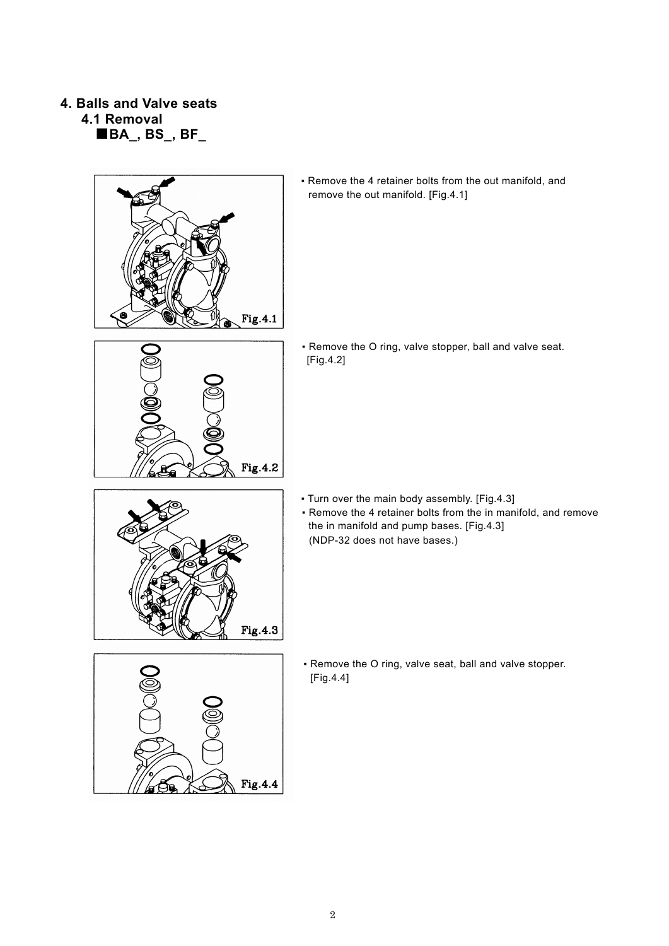## **4. Balls and Valve seats 4.1 Removal**

 **■BA\_, BS\_, BF\_** 



▪ Remove the 4 retainer bolts from the out manifold, and remove the out manifold. [Fig.4.1]

- Fig.4.2
- Remove the O ring, valve stopper, ball and valve seat. [Fig.4.2]

- Turn over the main body assembly. [Fig.4.3]
- Remove the 4 retainer bolts from the in manifold, and remove the in manifold and pump bases. [Fig.4.3] (NDP-32 does not have bases.)



▪ Remove the O ring, valve seat, ball and valve stopper. [Fig.4.4]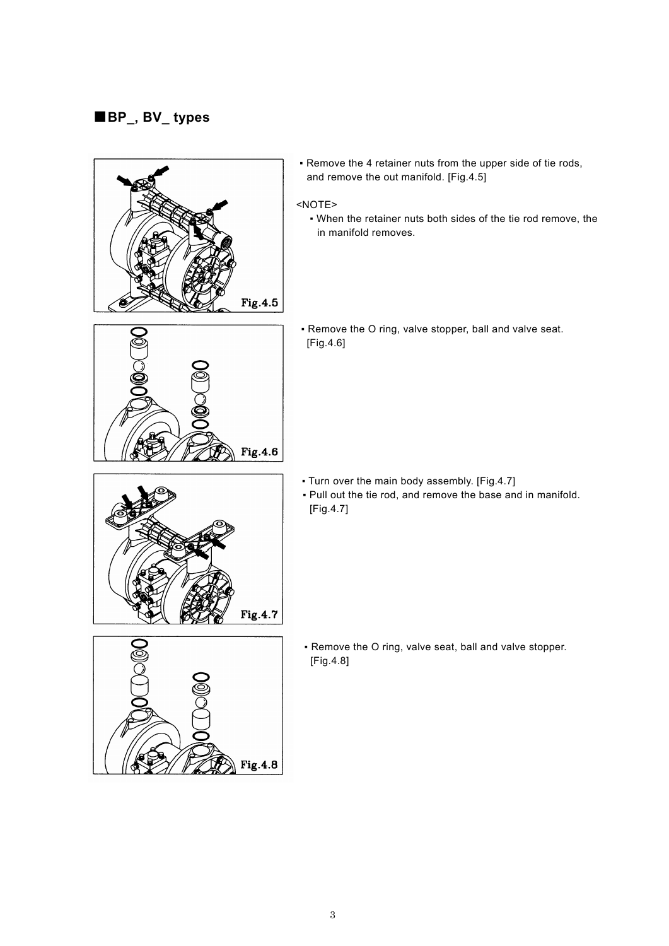## **■BP\_, BV\_ types**

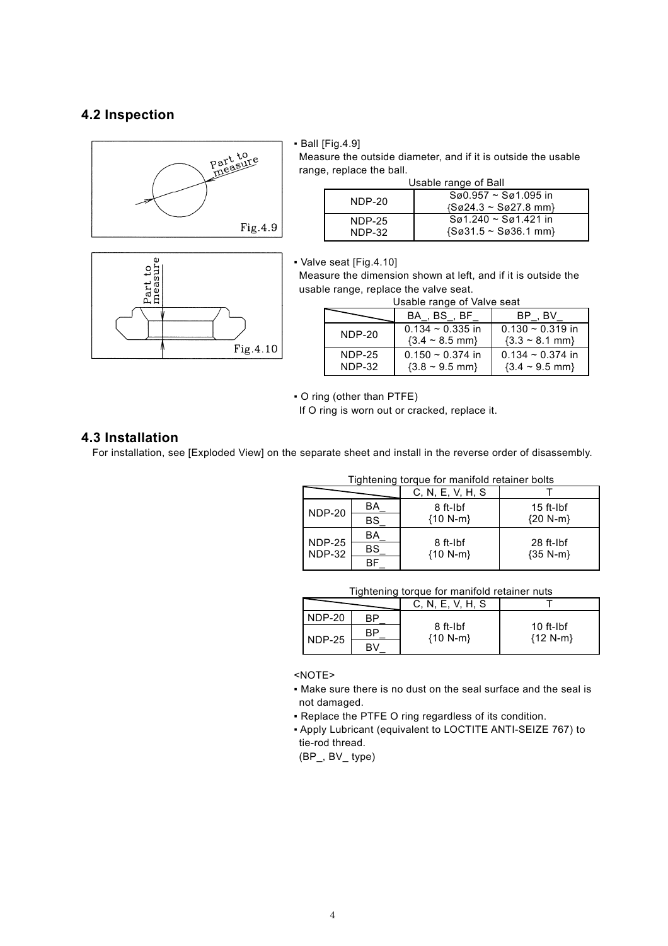### **4.2 Inspection**





#### ▪ Ball [Fig.4.9]

Measure the outside diameter, and if it is outside the usable range, replace the ball.

| Usable range of Ball |                                                                                    |  |
|----------------------|------------------------------------------------------------------------------------|--|
| NDP-20               | $Sø0.957 \sim Sø1.095$ in<br>$\{S\emptyset 24.3 \sim S\emptyset 27.8 \text{ mm}\}$ |  |
| NDP-25<br>NDP-32     | $Sø1.240 \sim Sø1.421$ in<br>$\{S\emptyset 31.5 \sim S\emptyset 36.1 \text{ mm}\}$ |  |

▪ Valve seat [Fig.4.10]

NDP-32

Measure the dimension shown at left, and if it is outside the usable range, replace the valve seat.

|                      | BA . BS . BF                                              | BP.BV                                                   |
|----------------------|-----------------------------------------------------------|---------------------------------------------------------|
| $NDP-20$             | $0.134 \approx 0.335$ in<br>$\{3.4 \sim 8.5 \text{ mm}\}$ | $0.130 \sim 0.319$ in<br>$\{3.3 \sim 8.1 \text{ mm}\}$  |
| $NDP-25$<br>$NDP-32$ | $0.150 \sim 0.374$ in<br>$\{3.8 \sim 9.5 \text{ mm}\}$    | $0.134 \approx 0.374$ in<br>${3.4 \sim 9.5 \text{ mm}}$ |

▪ O ring (other than PTFE)

If O ring is worn out or cracked, replace it.

### **4.3 Installation**

For installation, see [Exploded View] on the separate sheet and install in the reverse order of disassembly.

| Tightening torque for manifold retainer bolts |           |                        |                                    |  |
|-----------------------------------------------|-----------|------------------------|------------------------------------|--|
|                                               |           | C, N, E, V, H, S       |                                    |  |
| NDP-20                                        | BA        | 8 ft-Ibf               | $15$ ft-Ibf                        |  |
|                                               | BS        | ${10 N-m}$             | ${20 N-m}$                         |  |
| NDP-25                                        | BA        |                        |                                    |  |
| <b>NDP-32</b>                                 | <b>BS</b> | 8 ft-Ibf<br>${10 N-m}$ | 28 ft-Ibf<br>$\{35\ \text{N-m}\}\$ |  |
|                                               |           |                        |                                    |  |

#### Tightening torque for manifold retainer nuts

|               |    | C, N, E, V, H, S       |                               |
|---------------|----|------------------------|-------------------------------|
| NDP-20        | RP | 8 ft-Ibf<br>${10 N-m}$ |                               |
| <b>NDP-25</b> | RP |                        | $10$ ft- $I$ bf<br>${12 N-m}$ |
|               |    |                        |                               |

<NOTE>

- Make sure there is no dust on the seal surface and the seal is not damaged.
- Replace the PTFE O ring regardless of its condition.
- Apply Lubricant (equivalent to LOCTITE ANTI-SEIZE 767) to tie-rod thread.

(BP\_, BV\_ type)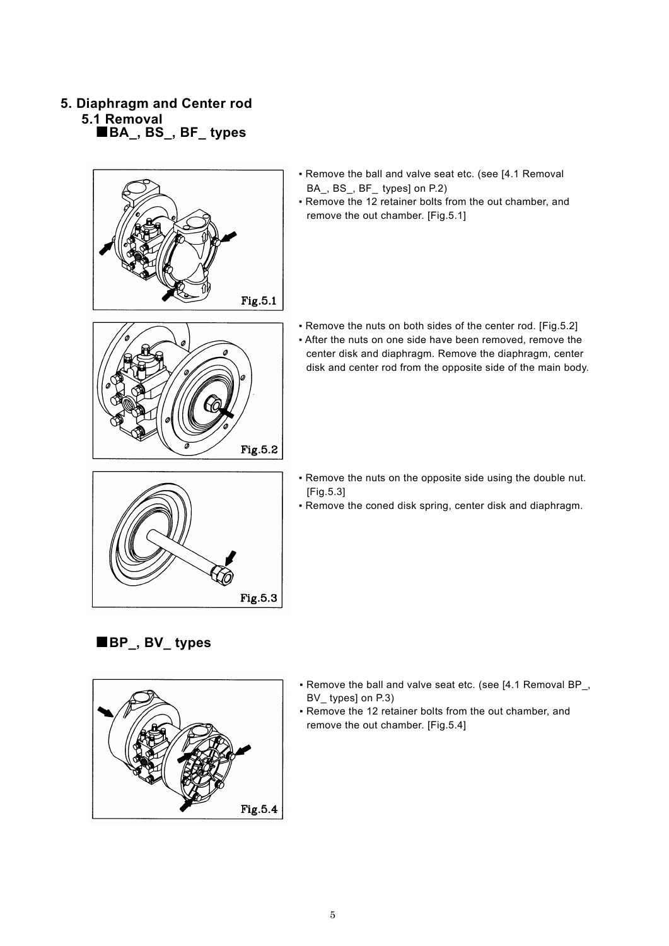- **5. Diaphragm and Center rod 5.1 Removal** 
	- **■BA\_, BS\_, BF\_ types**



- Remove the ball and valve seat etc. (see [4.1 Removal BA\_, BS\_, BF\_ types] on P.2)
- Remove the 12 retainer bolts from the out chamber, and remove the out chamber. [Fig.5.1]



- Remove the nuts on both sides of the center rod. [Fig.5.2] ▪ After the nuts on one side have been removed, remove the
	- center disk and diaphragm. Remove the diaphragm, center disk and center rod from the opposite side of the main body.
- Fig.5.3
- Remove the nuts on the opposite side using the double nut. [Fig.5.3]
- Remove the coned disk spring, center disk and diaphragm.



 **■BP\_, BV\_ types** 

- Remove the ball and valve seat etc. (see [4.1 Removal BP\_, BV types] on P.3)
- Remove the 12 retainer bolts from the out chamber, and remove the out chamber. [Fig.5.4]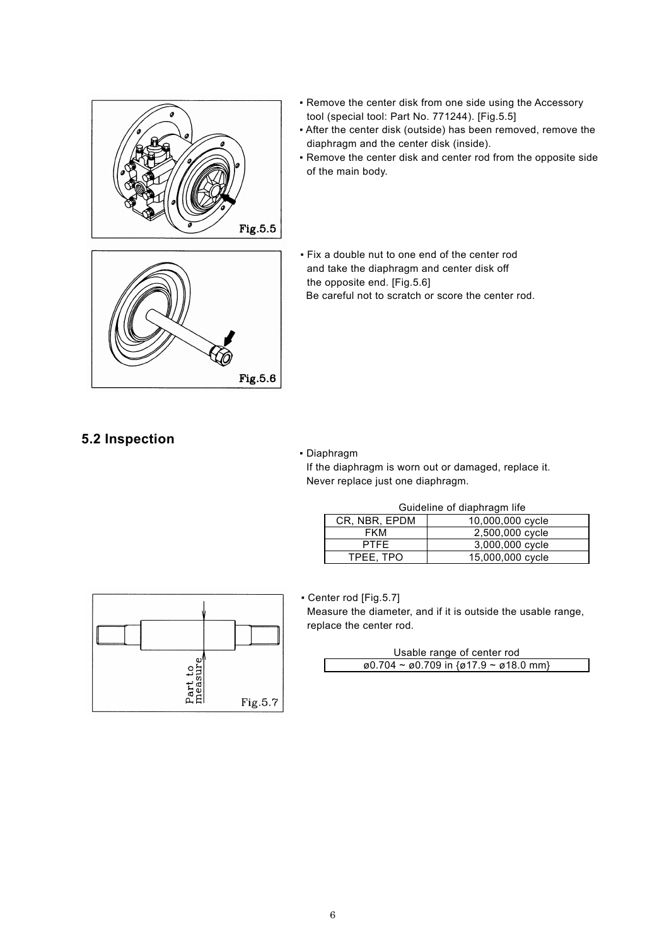

- Remove the center disk from one side using the Accessory tool (special tool: Part No. 771244). [Fig.5.5]
- After the center disk (outside) has been removed, remove the diaphragm and the center disk (inside).
- Remove the center disk and center rod from the opposite side of the main body.

▪ Fix a double nut to one end of the center rod and take the diaphragm and center disk off the opposite end. [Fig.5.6] Be careful not to scratch or score the center rod.

## **5.2 Inspection**

#### ▪ Diaphragm

Fig.5.6

If the diaphragm is worn out or damaged, replace it. Never replace just one diaphragm.

#### Guideline of diaphragm life

| CR. NBR, EPDM | 10,000,000 cycle |
|---------------|------------------|
| FKM           | 2,500,000 cycle  |
| <b>PTFF</b>   | 3,000,000 cycle  |
| TPEE. TPO     | 15,000,000 cycle |



▪ Center rod [Fig.5.7]

Measure the diameter, and if it is outside the usable range, replace the center rod.

| Usable range of center rod                                                         |  |  |  |  |
|------------------------------------------------------------------------------------|--|--|--|--|
| $\emptyset$ 0.704 ~ $\emptyset$ 0.709 in { $\emptyset$ 17.9 ~ $\emptyset$ 18.0 mm} |  |  |  |  |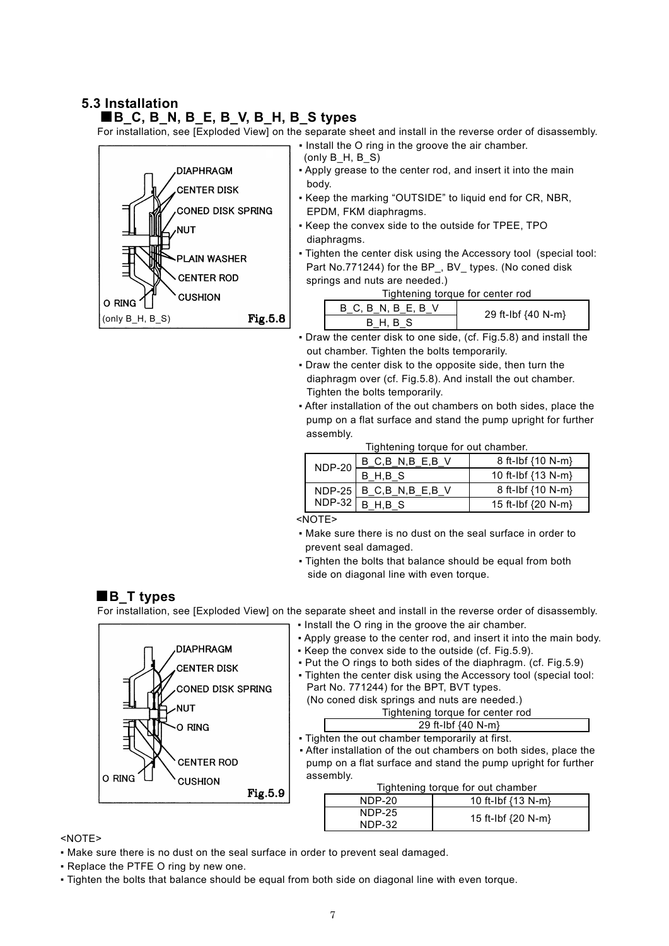## **5.3 Installation**

### **■B\_C, B\_N, B\_E, B\_V, B\_H, B\_S types**

For installation, see [Exploded View] on the separate sheet and install in the reverse order of disassembly.



- $(0n|v \nB H, B S)$
- Apply grease to the center rod, and insert it into the main body.

• Install the O ring in the groove the air chamber.

- Keep the marking "OUTSIDE" to liquid end for CR, NBR, EPDM, FKM diaphragms.
- Keep the convex side to the outside for TPEE, TPO diaphragms.
- Tighten the center disk using the Accessory tool (special tool: Part No.771244) for the BP, BV types. (No coned disk springs and nuts are needed.)

| Tightening torque for center rod |  |
|----------------------------------|--|

| $B$ C, $B$ N, $B$ E, $B$ V | 29 ft-Ibf {40 N-m} |
|----------------------------|--------------------|
| B H, B S                   |                    |

- Draw the center disk to one side, (cf. Fig.5.8) and install the out chamber. Tighten the bolts temporarily.
- Draw the center disk to the opposite side, then turn the diaphragm over (cf. Fig.5.8). And install the out chamber. Tighten the bolts temporarily.
- After installation of the out chambers on both sides, place the pump on a flat surface and stand the pump upright for further assembly.

Tightening torque for out chamber.

| rightching torque for out chamber. |                             |                                |  |
|------------------------------------|-----------------------------|--------------------------------|--|
| $NDP-20$                           | $B_C, B_N, B_E, B_V$        | 8 ft-Ibf $(10 N-m)$            |  |
|                                    | B H.B S                     | 10 ft-lbf $\{13 \text{ N-m}\}$ |  |
|                                    | $NDP-25$ B C, B N, B E, B V | 8 ft-Ibf $\{10 \text{ N-m}\}$  |  |
| NDP-32                             | B H.B S                     | 15 ft-lbf {20 N-m}             |  |

<NOTE>

- Make sure there is no dust on the seal surface in order to prevent seal damaged.
- Tighten the bolts that balance should be equal from both side on diagonal line with even torque.

## **■B\_T types**

DIAPHRAGM **CENTER DISK** 

**CENTER ROD** 

**CUSHION** 

**NIT**  $\Omega$  RING

**CONED DISK SPRING** 

For installation, see [Exploded View] on the separate sheet and install in the reverse order of disassembly.

- Install the O ring in the groove the air chamber.
- Apply grease to the center rod, and insert it into the main body.
- Keep the convex side to the outside (cf. Fig.5.9).
- Put the O rings to both sides of the diaphragm. (cf. Fig.5.9)
- Tighten the center disk using the Accessory tool (special tool: Part No. 771244) for the BPT, BVT types.

| (No coned disk springs and nuts are needed.) |
|----------------------------------------------|
| Tightening torque for center rod             |

- 29 ft-Ibf {40 N-m}
- Tighten the out chamber temporarily at first.
- After installation of the out chambers on both sides, place the pump on a flat surface and stand the pump upright for further assembly.

#### Tightening torque for out chamber

| NDP-20           | 10 ft-Ibf $\{13 \text{ N-m}\}$ |
|------------------|--------------------------------|
| NDP-25<br>NDP-32 | 15 ft-Ibf {20 N-m}             |

<NOTE>

O RING

▪ Make sure there is no dust on the seal surface in order to prevent seal damaged.

Fig.5.9

- Replace the PTFE O ring by new one.
- Tighten the bolts that balance should be equal from both side on diagonal line with even torque.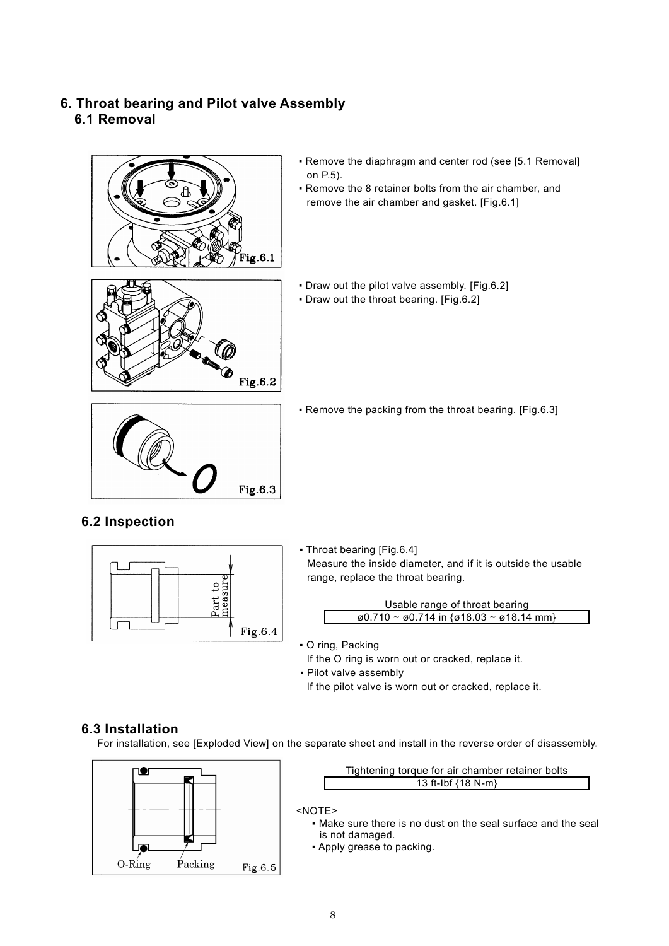## **6. Throat bearing and Pilot valve Assembly 6.1 Removal**



- Remove the diaphragm and center rod (see [5.1 Removal] on P.5).
- Remove the 8 retainer bolts from the air chamber, and remove the air chamber and gasket. [Fig.6.1]
- Draw out the pilot valve assembly. [Fig.6.2]
- Draw out the throat bearing. [Fig.6.2]



⑯

Fig.6.2

▪ Remove the packing from the throat bearing. [Fig.6.3]

## **6.2 Inspection**



▪ Throat bearing [Fig.6.4] Measure the inside diameter, and if it is outside the usable range, replace the throat bearing.

| Usable range of throat bearing                                                       |
|--------------------------------------------------------------------------------------|
| $\emptyset$ 0.710 ~ $\emptyset$ 0.714 in { $\emptyset$ 18.03 ~ $\emptyset$ 18.14 mm} |

- O ring, Packing If the O ring is worn out or cracked, replace it.
- Pilot valve assembly If the pilot valve is worn out or cracked, replace it.

## **6.3 Installation**

For installation, see [Exploded View] on the separate sheet and install in the reverse order of disassembly.





## <NOTE>

- Make sure there is no dust on the seal surface and the seal is not damaged.
- Apply grease to packing.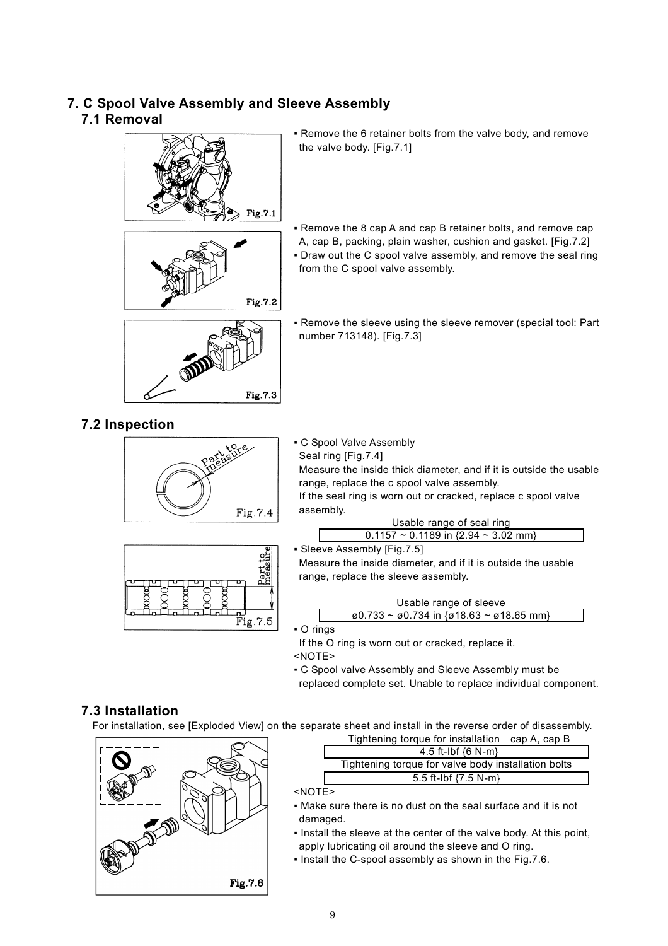## **7. C Spool Valve Assembly and Sleeve Assembly 7.1 Removal**





- Remove the 6 retainer bolts from the valve body, and remove the valve body. [Fig.7.1]
- Remove the 8 cap A and cap B retainer bolts, and remove cap A, cap B, packing, plain washer, cushion and gasket. [Fig.7.2] • Draw out the C spool valve assembly, and remove the seal ring from the C spool valve assembly.
- Remove the sleeve using the sleeve remover (special tool: Part number 713148). [Fig.7.3]

## **7.2 Inspection**



Fig.7.3



#### ▪ C Spool Valve Assembly Seal ring [Fig.7.4]

Measure the inside thick diameter, and if it is outside the usable range, replace the c spool valve assembly.

If the seal ring is worn out or cracked, replace c spool valve assembly.

| Usable range of seal ring                     |  |
|-----------------------------------------------|--|
| $0.1157 \sim 0.1189$ in {2.94 $\sim 3.02$ mm} |  |

▪ Sleeve Assembly [Fig.7.5]

Measure the inside diameter, and if it is outside the usable range, replace the sleeve assembly.

$$
Usable range of sleeve\n@0.733 ~ @0.734 in {@18.63 ~ @18.65 mm}
$$

▪ O rings

If the O ring is worn out or cracked, replace it. <NOTE>

- C Spool valve Assembly and Sleeve Assembly must be
- replaced complete set. Unable to replace individual component.

## **7.3 Installation**

For installation, see [Exploded View] on the separate sheet and install in the reverse order of disassembly.



| Tightening torque for installation cap A, cap B     |
|-----------------------------------------------------|
| 4.5 ft-Ibf $\{6 \text{ N-m}\}$                      |
| Tightening torque for valve body installation bolts |
| 5.5 ft-lbf $\{7.5\ N\text{-m}\}$                    |
|                                                     |

- <NOTE>
- Make sure there is no dust on the seal surface and it is not damaged.
- Install the sleeve at the center of the valve body. At this point, apply lubricating oil around the sleeve and O ring.
- Install the C-spool assembly as shown in the Fig.7.6.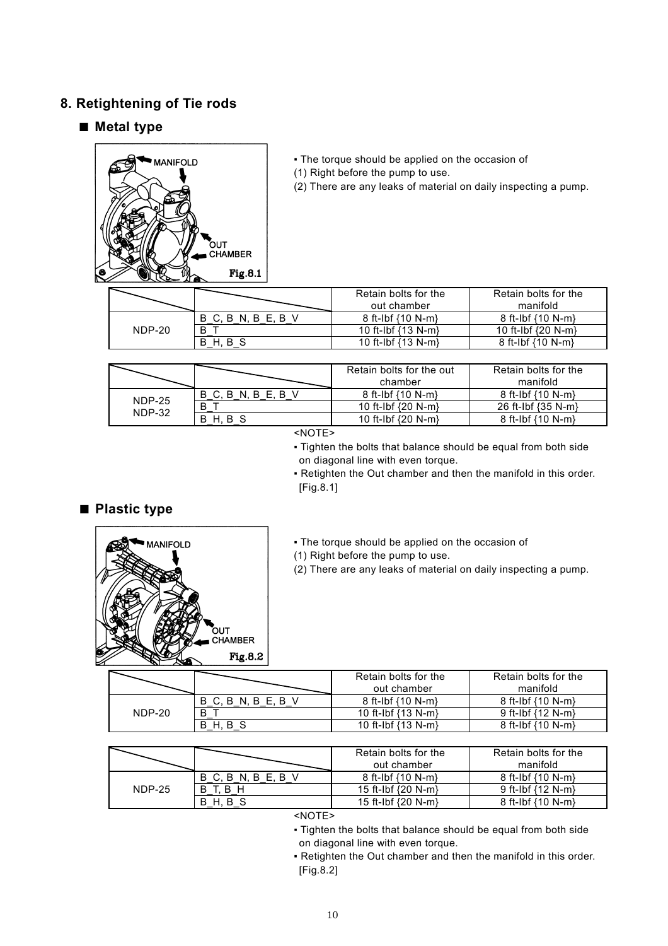## **8. Retightening of Tie rods**

## ■ Metal type



- **The torque should be applied on the occasion of**
- (1) Right before the pump to use.
- (2) There are any leaks of material on daily inspecting a pump.

|        |                  | Retain bolts for the<br>out chamber | Retain bolts for the<br>manifold |
|--------|------------------|-------------------------------------|----------------------------------|
| NDP-20 | B C. B N. B E. B | $8$ ft-Ibf $(10 N-m)$               | $8$ ft-lbf $\{10 \text{ N-m}\}$  |
|        | B                | 10 ft-Ibf $(13 N-m)$                | 10 ft-Ibf $\{20 \text{ N-m}\}$   |
|        | B<br>н           | 10 ft-Ibf $(13 N-m)$                | 8 ft-Ibf $(10 N-m)$              |

|                         |                           | Retain bolts for the out<br>chamber | Retain bolts for the<br>manifold |
|-------------------------|---------------------------|-------------------------------------|----------------------------------|
| <b>NDP-25</b><br>NDP-32 | B C.<br>B.<br>N. B E. B V | 8 ft-Ibf $(10 N-m)$                 | 8 ft-Ibf $(10 N-m)$              |
|                         | B                         | 10 ft-lbf $\{20 \text{ N-m}\}$      | 26 ft-Ibf {35 N-m}               |
|                         | B<br>B.                   | 10 ft-lbf $\{20 \text{ N-m}\}$      | 8 ft-Ibf {10 N-m}                |

<NOTE>

- Tighten the bolts that balance should be equal from both side on diagonal line with even torque.
- Retighten the Out chamber and then the manifold in this order. [Fig.8.1]

## ■ **Plastic type**



- **The torque should be applied on the occasion of**
- (1) Right before the pump to use.
- (2) There are any leaks of material on daily inspecting a pump.

|        |                            | Retain bolts for the<br>out chamber | Retain bolts for the<br>manifold |
|--------|----------------------------|-------------------------------------|----------------------------------|
|        | - B<br>B<br>$\vdash$<br>N. | $8$ ft-Ibf $(10 N-m)$               | $8$ ft-Ibf $(10 N-m)$            |
| NDP-20 |                            | 10 ft-lbf $(13 N-m)$                | 9 ft-Ibf $(12 N-m)$              |
|        | Н.                         | 10 ft-Ibf $\{13 \text{ N-m}\}$      | $8$ ft-Ibf $(10 N-m)$            |

|               |                  | Retain bolts for the<br>out chamber | Retain bolts for the<br>manifold |
|---------------|------------------|-------------------------------------|----------------------------------|
| <b>NDP-25</b> | B C, B N, B E, B | 8 ft-Ibf $\{10 \text{ N-m}\}$       | $8$ ft-Ibf $(10 N-m)$            |
|               | В<br>В           | 15 ft-lbf $\{20 \text{ N-m}\}$      | 9 ft-Ibf $(12 N-m)$              |
|               | В<br>н           | 15 ft-Ibf {20 N-m}                  | 8 ft-Ibf $\{10 \text{ N-m}\}$    |

<NOTE>

- Tighten the bolts that balance should be equal from both side on diagonal line with even torque.
- Retighten the Out chamber and then the manifold in this order. [Fig.8.2]